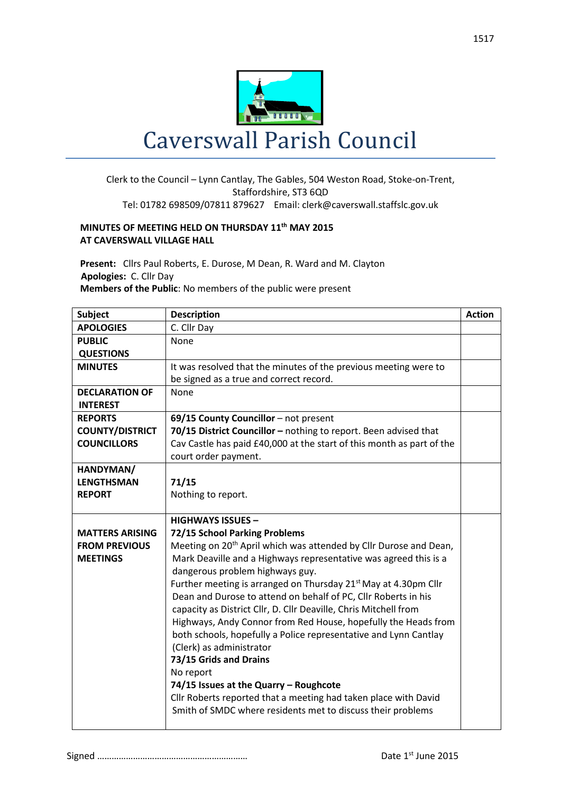

## Clerk to the Council – Lynn Cantlay, The Gables, 504 Weston Road, Stoke-on-Trent,

## Staffordshire, ST3 6QD Tel: 01782 698509/07811 879627 Email: clerk@caverswall.staffslc.gov.uk

## **MINUTES OF MEETING HELD ON THURSDAY 11th MAY 2015 AT CAVERSWALL VILLAGE HALL**

**Present:** Cllrs Paul Roberts, E. Durose, M Dean, R. Ward and M. Clayton  **Apologies:** C. Cllr Day **Members of the Public**: No members of the public were present

| <b>Subject</b>         | <b>Description</b>                                                            | <b>Action</b> |
|------------------------|-------------------------------------------------------------------------------|---------------|
| <b>APOLOGIES</b>       | C. Cllr Day                                                                   |               |
| <b>PUBLIC</b>          | None                                                                          |               |
| <b>QUESTIONS</b>       |                                                                               |               |
| <b>MINUTES</b>         | It was resolved that the minutes of the previous meeting were to              |               |
|                        | be signed as a true and correct record.                                       |               |
| <b>DECLARATION OF</b>  | <b>None</b>                                                                   |               |
| <b>INTEREST</b>        |                                                                               |               |
| <b>REPORTS</b>         | 69/15 County Councillor - not present                                         |               |
| <b>COUNTY/DISTRICT</b> | 70/15 District Councillor - nothing to report. Been advised that              |               |
| <b>COUNCILLORS</b>     | Cav Castle has paid £40,000 at the start of this month as part of the         |               |
|                        | court order payment.                                                          |               |
| HANDYMAN/              |                                                                               |               |
| <b>LENGTHSMAN</b>      | 71/15                                                                         |               |
| <b>REPORT</b>          | Nothing to report.                                                            |               |
|                        |                                                                               |               |
|                        | <b>HIGHWAYS ISSUES -</b>                                                      |               |
| <b>MATTERS ARISING</b> | 72/15 School Parking Problems                                                 |               |
| <b>FROM PREVIOUS</b>   | Meeting on 20 <sup>th</sup> April which was attended by Cllr Durose and Dean, |               |
| <b>MEETINGS</b>        | Mark Deaville and a Highways representative was agreed this is a              |               |
|                        | dangerous problem highways guy.                                               |               |
|                        | Further meeting is arranged on Thursday 21 <sup>st</sup> May at 4.30pm Cllr   |               |
|                        | Dean and Durose to attend on behalf of PC, Cllr Roberts in his                |               |
|                        | capacity as District Cllr, D. Cllr Deaville, Chris Mitchell from              |               |
|                        | Highways, Andy Connor from Red House, hopefully the Heads from                |               |
|                        | both schools, hopefully a Police representative and Lynn Cantlay              |               |
|                        | (Clerk) as administrator                                                      |               |
|                        | 73/15 Grids and Drains                                                        |               |
|                        | No report                                                                     |               |
|                        | 74/15 Issues at the Quarry - Roughcote                                        |               |
|                        | Cllr Roberts reported that a meeting had taken place with David               |               |
|                        | Smith of SMDC where residents met to discuss their problems                   |               |
|                        |                                                                               |               |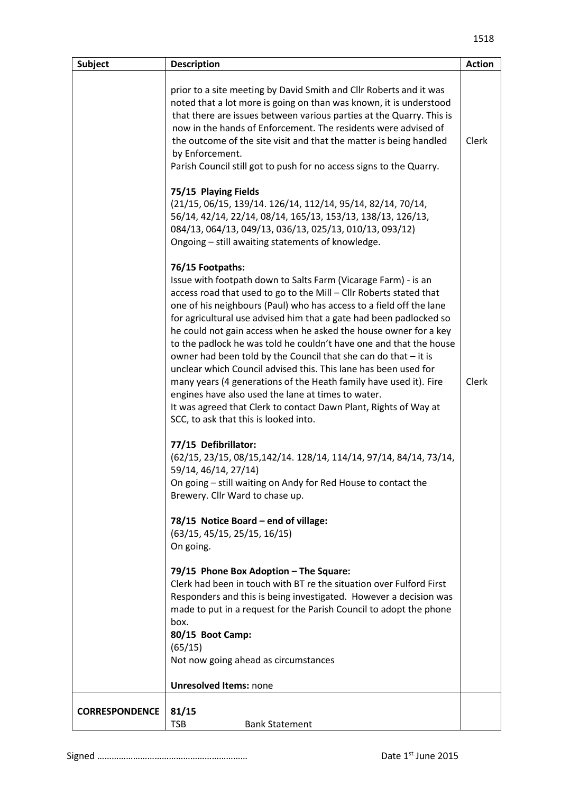| <b>Subject</b>        | <b>Description</b>                                                                                                                                                                                                                                                                                                                                                                                                                                                                                                                                                                                                                                                                                                                                                                                                            | <b>Action</b> |
|-----------------------|-------------------------------------------------------------------------------------------------------------------------------------------------------------------------------------------------------------------------------------------------------------------------------------------------------------------------------------------------------------------------------------------------------------------------------------------------------------------------------------------------------------------------------------------------------------------------------------------------------------------------------------------------------------------------------------------------------------------------------------------------------------------------------------------------------------------------------|---------------|
|                       | prior to a site meeting by David Smith and Cllr Roberts and it was<br>noted that a lot more is going on than was known, it is understood<br>that there are issues between various parties at the Quarry. This is<br>now in the hands of Enforcement. The residents were advised of<br>the outcome of the site visit and that the matter is being handled<br>by Enforcement.<br>Parish Council still got to push for no access signs to the Quarry.                                                                                                                                                                                                                                                                                                                                                                            | Clerk         |
|                       | 75/15 Playing Fields<br>(21/15, 06/15, 139/14. 126/14, 112/14, 95/14, 82/14, 70/14,<br>56/14, 42/14, 22/14, 08/14, 165/13, 153/13, 138/13, 126/13,<br>084/13, 064/13, 049/13, 036/13, 025/13, 010/13, 093/12)<br>Ongoing - still awaiting statements of knowledge.                                                                                                                                                                                                                                                                                                                                                                                                                                                                                                                                                            |               |
|                       | 76/15 Footpaths:<br>Issue with footpath down to Salts Farm (Vicarage Farm) - is an<br>access road that used to go to the Mill - Cllr Roberts stated that<br>one of his neighbours (Paul) who has access to a field off the lane<br>for agricultural use advised him that a gate had been padlocked so<br>he could not gain access when he asked the house owner for a key<br>to the padlock he was told he couldn't have one and that the house<br>owner had been told by the Council that she can do that - it is<br>unclear which Council advised this. This lane has been used for<br>many years (4 generations of the Heath family have used it). Fire<br>engines have also used the lane at times to water.<br>It was agreed that Clerk to contact Dawn Plant, Rights of Way at<br>SCC, to ask that this is looked into. | Clerk         |
|                       | 77/15 Defibrillator:<br>(62/15, 23/15, 08/15, 142/14. 128/14, 114/14, 97/14, 84/14, 73/14,<br>59/14, 46/14, 27/14)<br>On going - still waiting on Andy for Red House to contact the<br>Brewery. Cllr Ward to chase up.                                                                                                                                                                                                                                                                                                                                                                                                                                                                                                                                                                                                        |               |
|                       | 78/15 Notice Board - end of village:<br>(63/15, 45/15, 25/15, 16/15)<br>On going.                                                                                                                                                                                                                                                                                                                                                                                                                                                                                                                                                                                                                                                                                                                                             |               |
|                       | 79/15 Phone Box Adoption - The Square:<br>Clerk had been in touch with BT re the situation over Fulford First<br>Responders and this is being investigated. However a decision was<br>made to put in a request for the Parish Council to adopt the phone<br>box.<br>80/15 Boot Camp:<br>(65/15)<br>Not now going ahead as circumstances                                                                                                                                                                                                                                                                                                                                                                                                                                                                                       |               |
|                       | <b>Unresolved Items: none</b>                                                                                                                                                                                                                                                                                                                                                                                                                                                                                                                                                                                                                                                                                                                                                                                                 |               |
| <b>CORRESPONDENCE</b> | 81/15<br><b>TSB</b><br><b>Bank Statement</b>                                                                                                                                                                                                                                                                                                                                                                                                                                                                                                                                                                                                                                                                                                                                                                                  |               |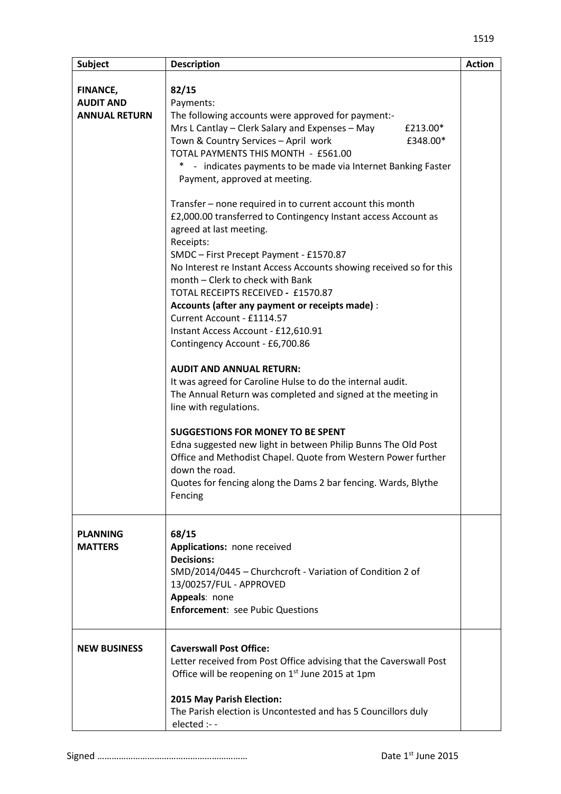| <b>Subject</b>       | <b>Description</b>                                                  | <b>Action</b> |
|----------------------|---------------------------------------------------------------------|---------------|
|                      |                                                                     |               |
| FINANCE,             | 82/15                                                               |               |
| <b>AUDIT AND</b>     | Payments:                                                           |               |
| <b>ANNUAL RETURN</b> | The following accounts were approved for payment:-                  |               |
|                      | Mrs L Cantlay – Clerk Salary and Expenses – May<br>£213.00*         |               |
|                      | Town & Country Services - April work<br>£348.00*                    |               |
|                      | TOTAL PAYMENTS THIS MONTH - £561.00                                 |               |
|                      | - indicates payments to be made via Internet Banking Faster         |               |
|                      | Payment, approved at meeting.                                       |               |
|                      |                                                                     |               |
|                      | Transfer – none required in to current account this month           |               |
|                      | £2,000.00 transferred to Contingency Instant access Account as      |               |
|                      | agreed at last meeting.                                             |               |
|                      | Receipts:                                                           |               |
|                      | SMDC - First Precept Payment - £1570.87                             |               |
|                      | No Interest re Instant Access Accounts showing received so for this |               |
|                      | month - Clerk to check with Bank                                    |               |
|                      | TOTAL RECEIPTS RECEIVED - £1570.87                                  |               |
|                      | Accounts (after any payment or receipts made) :                     |               |
|                      | Current Account - £1114.57                                          |               |
|                      | Instant Access Account - £12,610.91                                 |               |
|                      | Contingency Account - £6,700.86                                     |               |
|                      |                                                                     |               |
|                      | <b>AUDIT AND ANNUAL RETURN:</b>                                     |               |
|                      | It was agreed for Caroline Hulse to do the internal audit.          |               |
|                      | The Annual Return was completed and signed at the meeting in        |               |
|                      | line with regulations.                                              |               |
|                      |                                                                     |               |
|                      | <b>SUGGESTIONS FOR MONEY TO BE SPENT</b>                            |               |
|                      | Edna suggested new light in between Philip Bunns The Old Post       |               |
|                      | Office and Methodist Chapel. Quote from Western Power further       |               |
|                      | down the road.                                                      |               |
|                      | Quotes for fencing along the Dams 2 bar fencing. Wards, Blythe      |               |
|                      | Fencing                                                             |               |
|                      |                                                                     |               |
|                      |                                                                     |               |
| <b>PLANNING</b>      | 68/15                                                               |               |
| <b>MATTERS</b>       | Applications: none received                                         |               |
|                      | <b>Decisions:</b>                                                   |               |
|                      | SMD/2014/0445 - Churchcroft - Variation of Condition 2 of           |               |
|                      | 13/00257/FUL - APPROVED                                             |               |
|                      | Appeals: none                                                       |               |
|                      | <b>Enforcement: see Pubic Questions</b>                             |               |
|                      |                                                                     |               |
| <b>NEW BUSINESS</b>  | <b>Caverswall Post Office:</b>                                      |               |
|                      | Letter received from Post Office advising that the Caverswall Post  |               |
|                      | Office will be reopening on 1 <sup>st</sup> June 2015 at 1pm        |               |
|                      |                                                                     |               |
|                      | 2015 May Parish Election:                                           |               |
|                      | The Parish election is Uncontested and has 5 Councillors duly       |               |
|                      | elected :--                                                         |               |